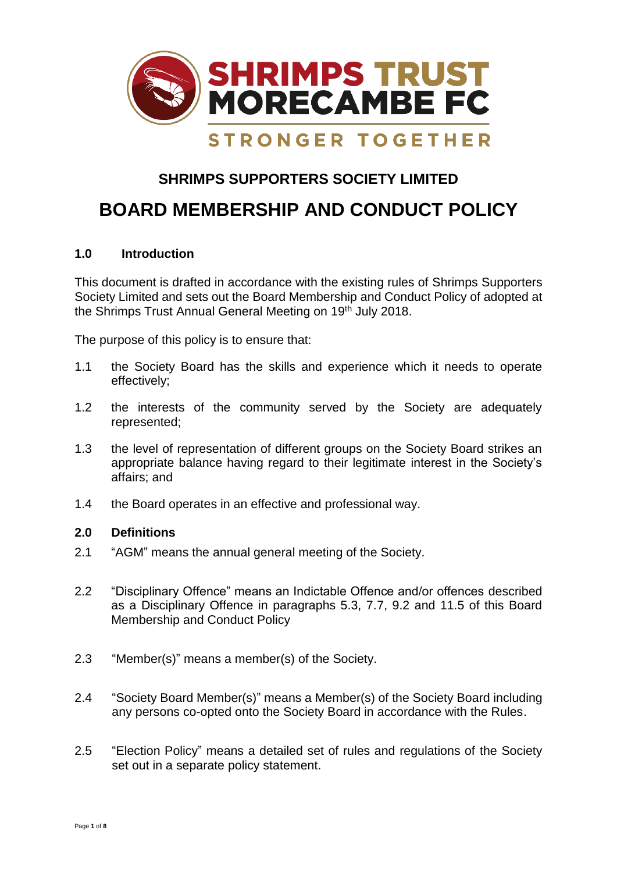

# **SHRIMPS SUPPORTERS SOCIETY LIMITED**

# **BOARD MEMBERSHIP AND CONDUCT POLICY**

# **1.0 Introduction**

This document is drafted in accordance with the existing rules of Shrimps Supporters Society Limited and sets out the Board Membership and Conduct Policy of adopted at the Shrimps Trust Annual General Meeting on 19<sup>th</sup> July 2018.

The purpose of this policy is to ensure that:

- 1.1 the Society Board has the skills and experience which it needs to operate effectively;
- 1.2 the interests of the community served by the Society are adequately represented;
- 1.3 the level of representation of different groups on the Society Board strikes an appropriate balance having regard to their legitimate interest in the Society's affairs; and
- 1.4 the Board operates in an effective and professional way.

# **2.0 Definitions**

- 2.1 "AGM" means the annual general meeting of the Society.
- 2.2 "Disciplinary Offence" means an Indictable Offence and/or offences described as a Disciplinary Offence in paragraphs 5.3, 7.7, 9.2 and 11.5 of this Board Membership and Conduct Policy
- 2.3 "Member(s)" means a member(s) of the Society.
- 2.4 "Society Board Member(s)" means a Member(s) of the Society Board including any persons co-opted onto the Society Board in accordance with the Rules.
- 2.5 "Election Policy" means a detailed set of rules and regulations of the Society set out in a separate policy statement.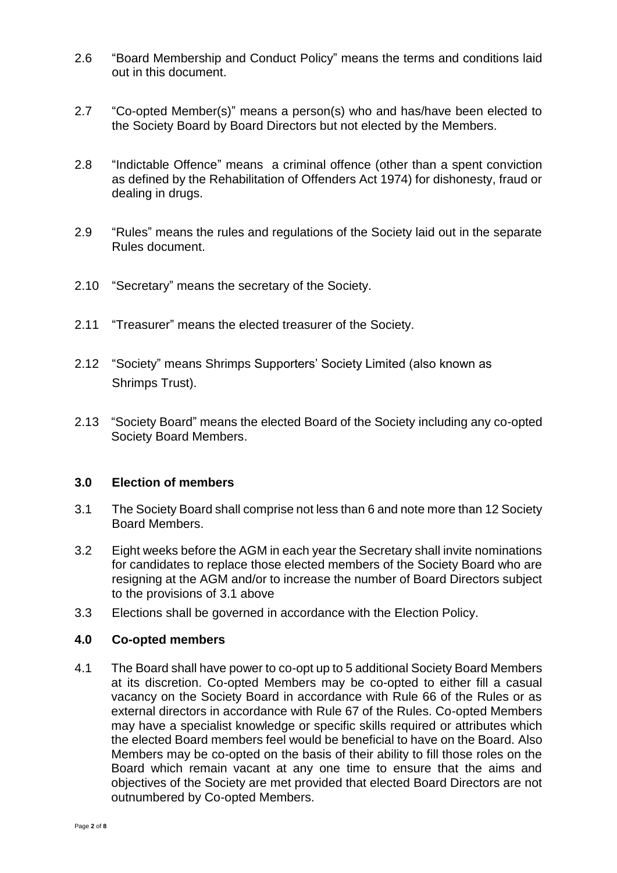- 2.6 "Board Membership and Conduct Policy" means the terms and conditions laid out in this document.
- 2.7 "Co-opted Member(s)" means a person(s) who and has/have been elected to the Society Board by Board Directors but not elected by the Members.
- 2.8 "Indictable Offence" means a criminal offence (other than a spent conviction as defined by the Rehabilitation of Offenders Act 1974) for dishonesty, fraud or dealing in drugs.
- 2.9 "Rules" means the rules and regulations of the Society laid out in the separate Rules document.
- 2.10 "Secretary" means the secretary of the Society.
- 2.11 "Treasurer" means the elected treasurer of the Society.
- 2.12 "Society" means Shrimps Supporters' Society Limited (also known as Shrimps Trust).
- 2.13 "Society Board" means the elected Board of the Society including any co-opted Society Board Members.

#### **3.0 Election of members**

- 3.1 The Society Board shall comprise not less than 6 and note more than 12 Society Board Members.
- 3.2 Eight weeks before the AGM in each year the Secretary shall invite nominations for candidates to replace those elected members of the Society Board who are resigning at the AGM and/or to increase the number of Board Directors subject to the provisions of 3.1 above
- 3.3 Elections shall be governed in accordance with the Election Policy.

#### **4.0 Co-opted members**

4.1 The Board shall have power to co-opt up to 5 additional Society Board Members at its discretion. Co-opted Members may be co-opted to either fill a casual vacancy on the Society Board in accordance with Rule 66 of the Rules or as external directors in accordance with Rule 67 of the Rules. Co-opted Members may have a specialist knowledge or specific skills required or attributes which the elected Board members feel would be beneficial to have on the Board. Also Members may be co-opted on the basis of their ability to fill those roles on the Board which remain vacant at any one time to ensure that the aims and objectives of the Society are met provided that elected Board Directors are not outnumbered by Co-opted Members.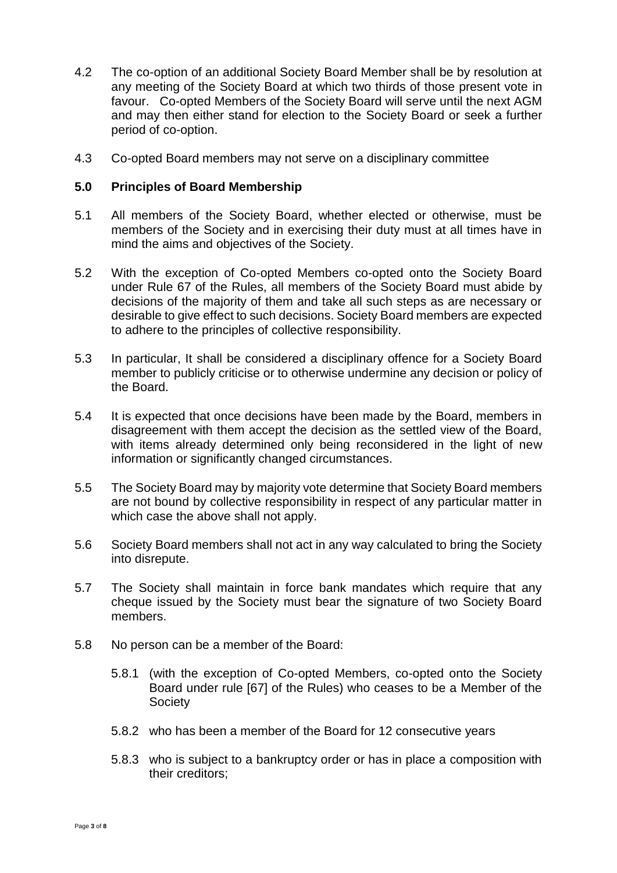- 4.2 The co-option of an additional Society Board Member shall be by resolution at any meeting of the Society Board at which two thirds of those present vote in favour. Co-opted Members of the Society Board will serve until the next AGM and may then either stand for election to the Society Board or seek a further period of co-option.
- 4.3 Co-opted Board members may not serve on a disciplinary committee

#### **5.0 Principles of Board Membership**

- 5.1 All members of the Society Board, whether elected or otherwise, must be members of the Society and in exercising their duty must at all times have in mind the aims and objectives of the Society.
- 5.2 With the exception of Co-opted Members co-opted onto the Society Board under Rule 67 of the Rules, all members of the Society Board must abide by decisions of the majority of them and take all such steps as are necessary or desirable to give effect to such decisions. Society Board members are expected to adhere to the principles of collective responsibility.
- 5.3 In particular, It shall be considered a disciplinary offence for a Society Board member to publicly criticise or to otherwise undermine any decision or policy of the Board.
- 5.4 It is expected that once decisions have been made by the Board, members in disagreement with them accept the decision as the settled view of the Board, with items already determined only being reconsidered in the light of new information or significantly changed circumstances.
- 5.5 The Society Board may by majority vote determine that Society Board members are not bound by collective responsibility in respect of any particular matter in which case the above shall not apply.
- 5.6 Society Board members shall not act in any way calculated to bring the Society into disrepute.
- 5.7 The Society shall maintain in force bank mandates which require that any cheque issued by the Society must bear the signature of two Society Board members.
- 5.8 No person can be a member of the Board:
	- 5.8.1 (with the exception of Co-opted Members, co-opted onto the Society Board under rule [67] of the Rules) who ceases to be a Member of the **Society**
	- 5.8.2 who has been a member of the Board for 12 consecutive years
	- 5.8.3 who is subject to a bankruptcy order or has in place a composition with their creditors;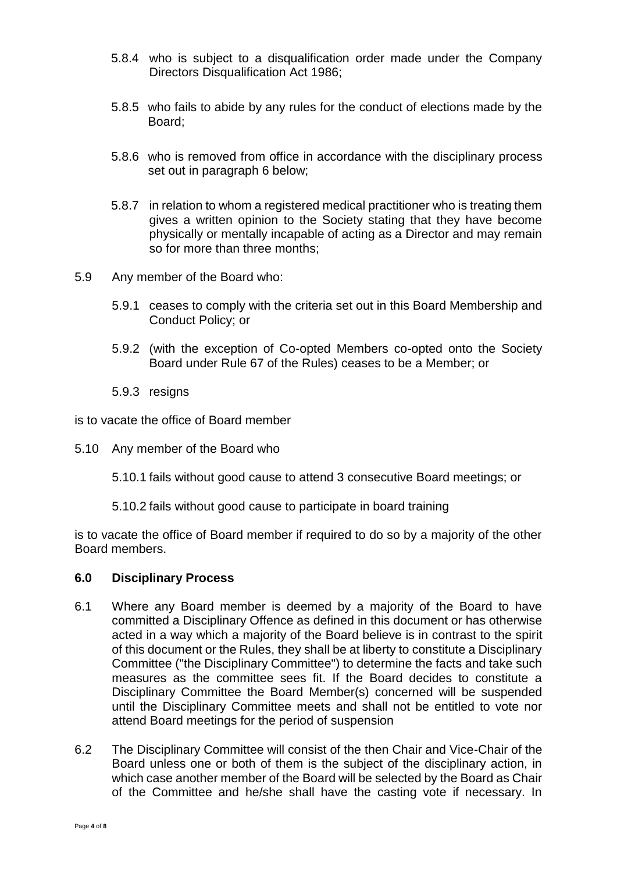- 5.8.4 who is subject to a disqualification order made under the Company Directors Disqualification Act 1986;
- 5.8.5 who fails to abide by any rules for the conduct of elections made by the Board;
- 5.8.6 who is removed from office in accordance with the disciplinary process set out in paragraph 6 below;
- 5.8.7 in relation to whom a registered medical practitioner who is treating them gives a written opinion to the Society stating that they have become physically or mentally incapable of acting as a Director and may remain so for more than three months;
- 5.9 Any member of the Board who:
	- 5.9.1 ceases to comply with the criteria set out in this Board Membership and Conduct Policy; or
	- 5.9.2 (with the exception of Co-opted Members co-opted onto the Society Board under Rule 67 of the Rules) ceases to be a Member; or
	- 5.9.3 resigns

is to vacate the office of Board member

5.10 Any member of the Board who

5.10.1 fails without good cause to attend 3 consecutive Board meetings; or

5.10.2 fails without good cause to participate in board training

is to vacate the office of Board member if required to do so by a majority of the other Board members.

#### **6.0 Disciplinary Process**

- 6.1 Where any Board member is deemed by a majority of the Board to have committed a Disciplinary Offence as defined in this document or has otherwise acted in a way which a majority of the Board believe is in contrast to the spirit of this document or the Rules, they shall be at liberty to constitute a Disciplinary Committee ("the Disciplinary Committee") to determine the facts and take such measures as the committee sees fit. If the Board decides to constitute a Disciplinary Committee the Board Member(s) concerned will be suspended until the Disciplinary Committee meets and shall not be entitled to vote nor attend Board meetings for the period of suspension
- 6.2 The Disciplinary Committee will consist of the then Chair and Vice-Chair of the Board unless one or both of them is the subject of the disciplinary action, in which case another member of the Board will be selected by the Board as Chair of the Committee and he/she shall have the casting vote if necessary. In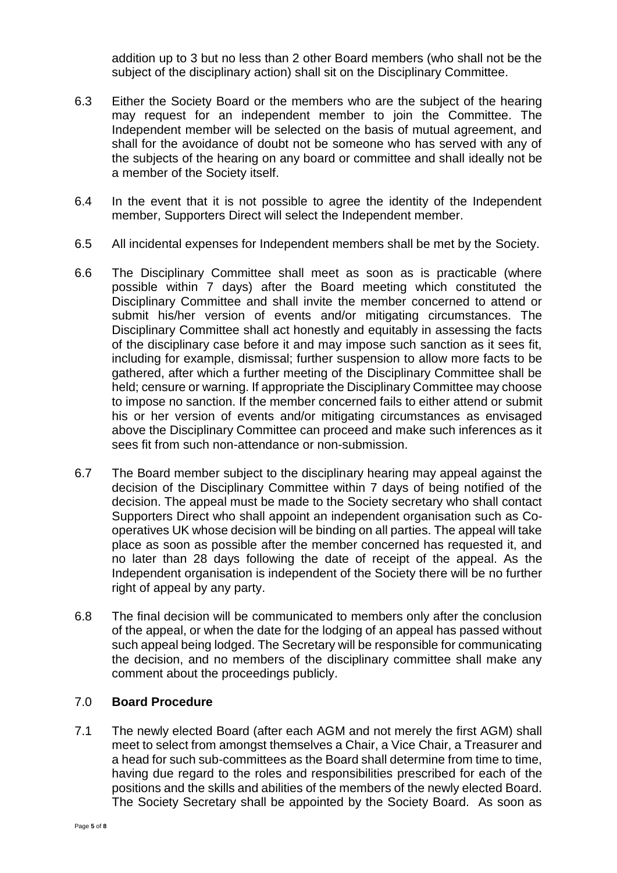addition up to 3 but no less than 2 other Board members (who shall not be the subject of the disciplinary action) shall sit on the Disciplinary Committee.

- 6.3 Either the Society Board or the members who are the subject of the hearing may request for an independent member to join the Committee. The Independent member will be selected on the basis of mutual agreement, and shall for the avoidance of doubt not be someone who has served with any of the subjects of the hearing on any board or committee and shall ideally not be a member of the Society itself.
- 6.4 In the event that it is not possible to agree the identity of the Independent member, Supporters Direct will select the Independent member.
- 6.5 All incidental expenses for Independent members shall be met by the Society.
- 6.6 The Disciplinary Committee shall meet as soon as is practicable (where possible within 7 days) after the Board meeting which constituted the Disciplinary Committee and shall invite the member concerned to attend or submit his/her version of events and/or mitigating circumstances. The Disciplinary Committee shall act honestly and equitably in assessing the facts of the disciplinary case before it and may impose such sanction as it sees fit, including for example, dismissal; further suspension to allow more facts to be gathered, after which a further meeting of the Disciplinary Committee shall be held; censure or warning. If appropriate the Disciplinary Committee may choose to impose no sanction. If the member concerned fails to either attend or submit his or her version of events and/or mitigating circumstances as envisaged above the Disciplinary Committee can proceed and make such inferences as it sees fit from such non-attendance or non-submission.
- 6.7 The Board member subject to the disciplinary hearing may appeal against the decision of the Disciplinary Committee within 7 days of being notified of the decision. The appeal must be made to the Society secretary who shall contact Supporters Direct who shall appoint an independent organisation such as Cooperatives UK whose decision will be binding on all parties. The appeal will take place as soon as possible after the member concerned has requested it, and no later than 28 days following the date of receipt of the appeal. As the Independent organisation is independent of the Society there will be no further right of appeal by any party.
- 6.8 The final decision will be communicated to members only after the conclusion of the appeal, or when the date for the lodging of an appeal has passed without such appeal being lodged. The Secretary will be responsible for communicating the decision, and no members of the disciplinary committee shall make any comment about the proceedings publicly.

# 7.0 **Board Procedure**

7.1 The newly elected Board (after each AGM and not merely the first AGM) shall meet to select from amongst themselves a Chair, a Vice Chair, a Treasurer and a head for such sub-committees as the Board shall determine from time to time, having due regard to the roles and responsibilities prescribed for each of the positions and the skills and abilities of the members of the newly elected Board. The Society Secretary shall be appointed by the Society Board. As soon as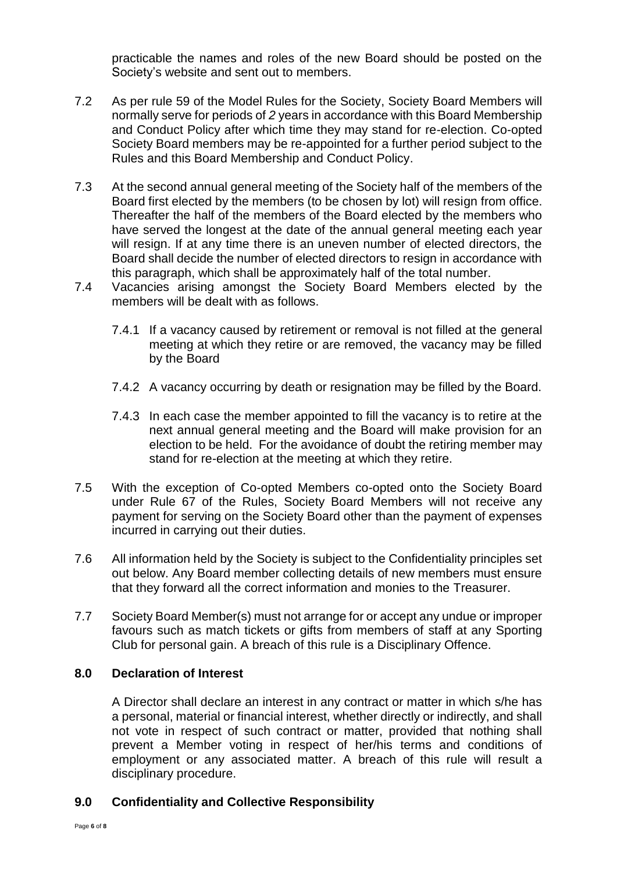practicable the names and roles of the new Board should be posted on the Society's website and sent out to members.

- 7.2 As per rule 59 of the Model Rules for the Society, Society Board Members will normally serve for periods of *2* years in accordance with this Board Membership and Conduct Policy after which time they may stand for re-election. Co-opted Society Board members may be re-appointed for a further period subject to the Rules and this Board Membership and Conduct Policy.
- 7.3 At the second annual general meeting of the Society half of the members of the Board first elected by the members (to be chosen by lot) will resign from office. Thereafter the half of the members of the Board elected by the members who have served the longest at the date of the annual general meeting each year will resign. If at any time there is an uneven number of elected directors, the Board shall decide the number of elected directors to resign in accordance with this paragraph, which shall be approximately half of the total number.
- 7.4 Vacancies arising amongst the Society Board Members elected by the members will be dealt with as follows.
	- 7.4.1 If a vacancy caused by retirement or removal is not filled at the general meeting at which they retire or are removed, the vacancy may be filled by the Board
	- 7.4.2 A vacancy occurring by death or resignation may be filled by the Board.
	- 7.4.3 In each case the member appointed to fill the vacancy is to retire at the next annual general meeting and the Board will make provision for an election to be held. For the avoidance of doubt the retiring member may stand for re-election at the meeting at which they retire.
- 7.5 With the exception of Co-opted Members co-opted onto the Society Board under Rule 67 of the Rules, Society Board Members will not receive any payment for serving on the Society Board other than the payment of expenses incurred in carrying out their duties.
- 7.6 All information held by the Society is subject to the Confidentiality principles set out below. Any Board member collecting details of new members must ensure that they forward all the correct information and monies to the Treasurer.
- 7.7 Society Board Member(s) must not arrange for or accept any undue or improper favours such as match tickets or gifts from members of staff at any Sporting Club for personal gain. A breach of this rule is a Disciplinary Offence.

# **8.0 Declaration of Interest**

A Director shall declare an interest in any contract or matter in which s/he has a personal, material or financial interest, whether directly or indirectly, and shall not vote in respect of such contract or matter, provided that nothing shall prevent a Member voting in respect of her/his terms and conditions of employment or any associated matter. A breach of this rule will result a disciplinary procedure.

# **9.0 Confidentiality and Collective Responsibility**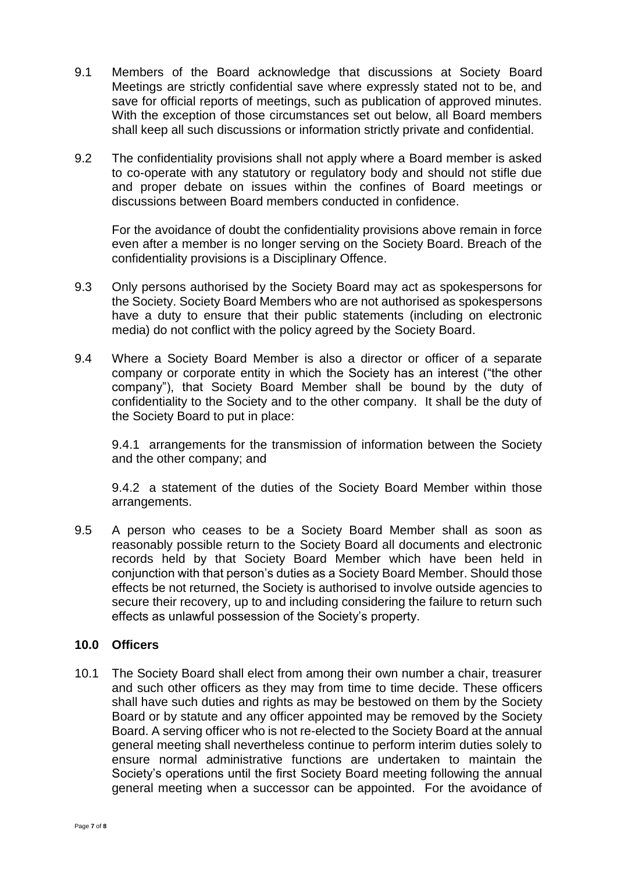- 9.1 Members of the Board acknowledge that discussions at Society Board Meetings are strictly confidential save where expressly stated not to be, and save for official reports of meetings, such as publication of approved minutes. With the exception of those circumstances set out below, all Board members shall keep all such discussions or information strictly private and confidential.
- 9.2 The confidentiality provisions shall not apply where a Board member is asked to co-operate with any statutory or regulatory body and should not stifle due and proper debate on issues within the confines of Board meetings or discussions between Board members conducted in confidence.

For the avoidance of doubt the confidentiality provisions above remain in force even after a member is no longer serving on the Society Board. Breach of the confidentiality provisions is a Disciplinary Offence.

- 9.3 Only persons authorised by the Society Board may act as spokespersons for the Society. Society Board Members who are not authorised as spokespersons have a duty to ensure that their public statements (including on electronic media) do not conflict with the policy agreed by the Society Board.
- 9.4 Where a Society Board Member is also a director or officer of a separate company or corporate entity in which the Society has an interest ("the other company"), that Society Board Member shall be bound by the duty of confidentiality to the Society and to the other company. It shall be the duty of the Society Board to put in place:

9.4.1 arrangements for the transmission of information between the Society and the other company; and

9.4.2 a statement of the duties of the Society Board Member within those arrangements.

9.5 A person who ceases to be a Society Board Member shall as soon as reasonably possible return to the Society Board all documents and electronic records held by that Society Board Member which have been held in conjunction with that person's duties as a Society Board Member. Should those effects be not returned, the Society is authorised to involve outside agencies to secure their recovery, up to and including considering the failure to return such effects as unlawful possession of the Society's property.

# **10.0 Officers**

10.1 The Society Board shall elect from among their own number a chair, treasurer and such other officers as they may from time to time decide. These officers shall have such duties and rights as may be bestowed on them by the Society Board or by statute and any officer appointed may be removed by the Society Board. A serving officer who is not re-elected to the Society Board at the annual general meeting shall nevertheless continue to perform interim duties solely to ensure normal administrative functions are undertaken to maintain the Society's operations until the first Society Board meeting following the annual general meeting when a successor can be appointed. For the avoidance of